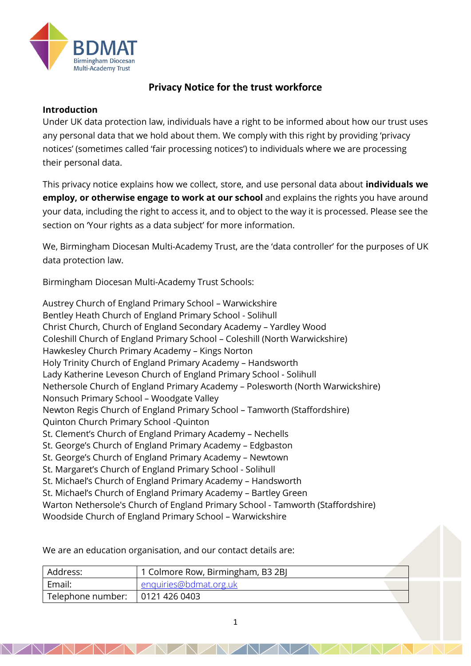

# **Privacy Notice for the trust workforce**

### **Introduction**

Under UK data protection law, individuals have a right to be informed about how our trust uses any personal data that we hold about them. We comply with this right by providing 'privacy notices' (sometimes called 'fair processing notices') to individuals where we are processing their personal data.

This privacy notice explains how we collect, store, and use personal data about **individuals we employ, or otherwise engage to work at our school** and explains the rights you have around your data, including the right to access it, and to object to the way it is processed. Please see the section on 'Your rights as a data subject' for more information.

We, Birmingham Diocesan Multi-Academy Trust, are the 'data controller' for the purposes of UK data protection law.

Birmingham Diocesan Multi-Academy Trust Schools:

Austrey Church of England Primary School – Warwickshire Bentley Heath Church of England Primary School - Solihull Christ Church, Church of England Secondary Academy – Yardley Wood Coleshill Church of England Primary School – Coleshill (North Warwickshire) Hawkesley Church Primary Academy – Kings Norton Holy Trinity Church of England Primary Academy – Handsworth Lady Katherine Leveson Church of England Primary School - Solihull Nethersole Church of England Primary Academy – Polesworth (North Warwickshire) Nonsuch Primary School – Woodgate Valley Newton Regis Church of England Primary School – Tamworth (Staffordshire) Quinton Church Primary School -Quinton St. Clement's Church of England Primary Academy – Nechells St. George's Church of England Primary Academy – Edgbaston St. George's Church of England Primary Academy – Newtown St. Margaret's Church of England Primary School - Solihull St. Michael's Church of England Primary Academy – Handsworth St. Michael's Church of England Primary Academy – Bartley Green Warton Nethersole's Church of England Primary School - Tamworth (Staffordshire) Woodside Church of England Primary School – Warwickshire

We are an education organisation, and our contact details are:

| Address:          | 1 Colmore Row, Birmingham, B3 2BJ |  |
|-------------------|-----------------------------------|--|
| Email:            | enquiries@bdmat.org.uk            |  |
| Telephone number: | 0121 426 0403                     |  |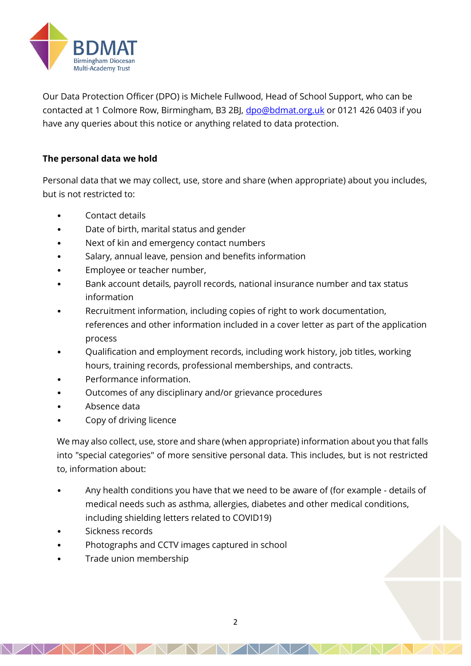

Our Data Protection Officer (DPO) is Michele Fullwood, Head of School Support, who can be contacted at 1 Colmore Row, Birmingham, B3 2BJ, [dpo@bdmat.org.uk](mailto:dpo@bdmat.org.uk) or 0121 426 0403 if you have any queries about this notice or anything related to data protection.

# **The personal data we hold**

Personal data that we may collect, use, store and share (when appropriate) about you includes, but is not restricted to:

- Contact details
- Date of birth, marital status and gender
- Next of kin and emergency contact numbers
- Salary, annual leave, pension and benefits information
- Employee or teacher number,
- Bank account details, payroll records, national insurance number and tax status information
- Recruitment information, including copies of right to work documentation, references and other information included in a cover letter as part of the application process
- Qualification and employment records, including work history, job titles, working hours, training records, professional memberships, and contracts.
- Performance information.
- Outcomes of any disciplinary and/or grievance procedures
- Absence data
- Copy of driving licence

We may also collect, use, store and share (when appropriate) information about you that falls into "special categories" of more sensitive personal data. This includes, but is not restricted to, information about:

- Any health conditions you have that we need to be aware of (for example details of medical needs such as asthma, allergies, diabetes and other medical conditions, including shielding letters related to COVID19)
- Sickness records
- Photographs and CCTV images captured in school
- Trade union membership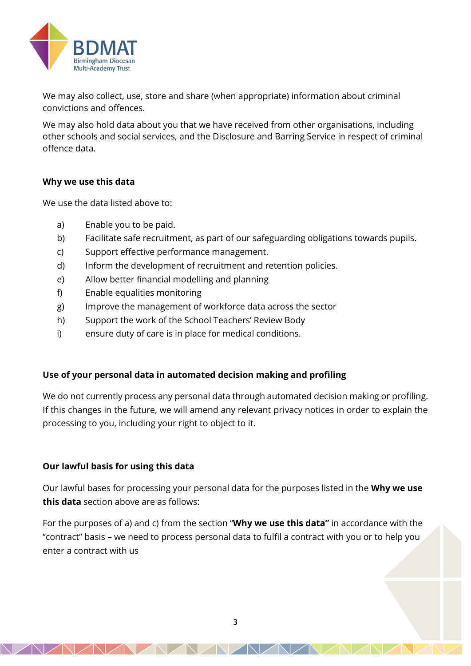

We may also collect, use, store and share (when appropriate) information about criminal convictions and offences.

We may also hold data about you that we have received from other organisations, including other schools and social services, and the Disclosure and Barring Service in respect of criminal offence data.

### **Why we use this data**

We use the data listed above to:

- a) Enable you to be paid.
- b) Facilitate safe recruitment, as part of our safeguarding obligations towards pupils.
- c) Support effective performance management.
- d) Inform the development of recruitment and retention policies.
- e) Allow better financial modelling and planning
- f) Enable equalities monitoring
- g) Improve the management of workforce data across the sector
- h) Support the work of the School Teachers' Review Body
- i) ensure duty of care is in place for medical conditions.

### **Use of your personal data in automated decision making and profiling**

We do not currently process any personal data through automated decision making or profiling. If this changes in the future, we will amend any relevant privacy notices in order to explain the processing to you, including your right to object to it.

# **Our lawful basis for using this data**

Our lawful bases for processing your personal data for the purposes listed in the **Why we use this data** section above are as follows:

For the purposes of a) and c) from the section "**Why we use this data"** in accordance with the "contract" basis – we need to process personal data to fulfil a contract with you or to help you enter a contract with us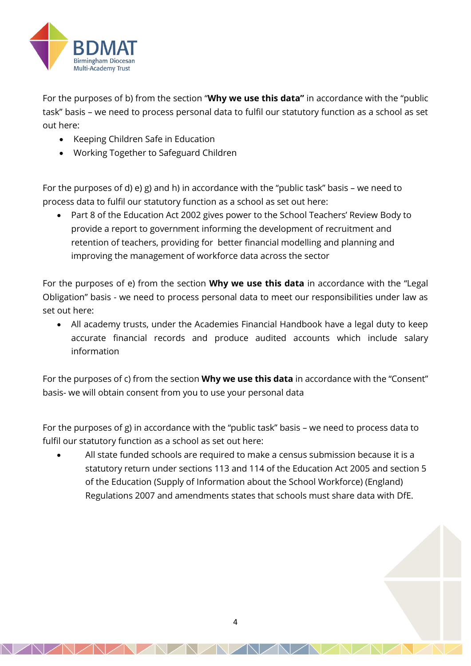

For the purposes of b) from the section "**Why we use this data"** in accordance with the "public task" basis – we need to process personal data to fulfil our statutory function as a school as set out here:

- Keeping Children Safe in Education
- Working Together to Safeguard Children

For the purposes of d) e) g) and h) in accordance with the "public task" basis – we need to process data to fulfil our statutory function as a school as set out here:

• Part 8 of the Education Act 2002 gives power to the School Teachers' Review Body to provide a report to government informing the development of recruitment and retention of teachers, providing for better financial modelling and planning and improving the management of workforce data across the sector

For the purposes of e) from the section **Why we use this data** in accordance with the "Legal Obligation" basis - we need to process personal data to meet our responsibilities under law as set out here:

• All academy trusts, under the Academies Financial Handbook have a legal duty to keep accurate financial records and produce audited accounts which include salary information

For the purposes of c) from the section **Why we use this data** in accordance with the "Consent" basis- we will obtain consent from you to use your personal data

For the purposes of g) in accordance with the "public task" basis – we need to process data to fulfil our statutory function as a school as set out here:

• All state funded schools are required to make a census submission because it is a statutory return under sections 113 and 114 of the Education Act 2005 and section 5 of the Education (Supply of Information about the School Workforce) (England) Regulations 2007 and amendments states that schools must share data with DfE.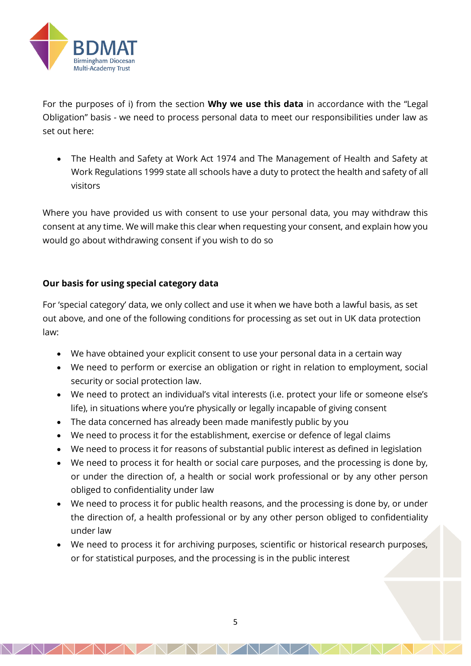

For the purposes of i) from the section **Why we use this data** in accordance with the "Legal Obligation" basis - we need to process personal data to meet our responsibilities under law as set out here:

• The Health and Safety at Work Act 1974 and The Management of Health and Safety at Work Regulations 1999 state all schools have a duty to protect the health and safety of all visitors

Where you have provided us with consent to use your personal data, you may withdraw this consent at any time. We will make this clear when requesting your consent, and explain how you would go about withdrawing consent if you wish to do so

# **Our basis for using special category data**

For 'special category' data, we only collect and use it when we have both a lawful basis, as set out above, and one of the following conditions for processing as set out in UK data protection law:

- We have obtained your explicit consent to use your personal data in a certain way
- We need to perform or exercise an obligation or right in relation to employment, social security or social protection law.
- We need to protect an individual's vital interests (i.e. protect your life or someone else's life), in situations where you're physically or legally incapable of giving consent
- The data concerned has already been made manifestly public by you
- We need to process it for the establishment, exercise or defence of legal claims
- We need to process it for reasons of substantial public interest as defined in legislation
- We need to process it for health or social care purposes, and the processing is done by, or under the direction of, a health or social work professional or by any other person obliged to confidentiality under law
- We need to process it for public health reasons, and the processing is done by, or under the direction of, a health professional or by any other person obliged to confidentiality under law
- We need to process it for archiving purposes, scientific or historical research purposes, or for statistical purposes, and the processing is in the public interest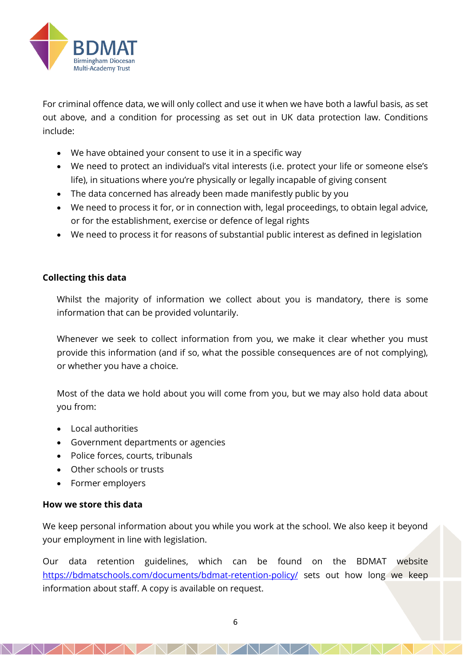

For criminal offence data, we will only collect and use it when we have both a lawful basis, as set out above, and a condition for processing as set out in UK data protection law. Conditions include:

- We have obtained your consent to use it in a specific way
- We need to protect an individual's vital interests (i.e. protect your life or someone else's life), in situations where you're physically or legally incapable of giving consent
- The data concerned has already been made manifestly public by you
- We need to process it for, or in connection with, legal proceedings, to obtain legal advice, or for the establishment, exercise or defence of legal rights
- We need to process it for reasons of substantial public interest as defined in legislation

### **Collecting this data**

Whilst the majority of information we collect about you is mandatory, there is some information that can be provided voluntarily.

Whenever we seek to collect information from you, we make it clear whether you must provide this information (and if so, what the possible consequences are of not complying), or whether you have a choice.

Most of the data we hold about you will come from you, but we may also hold data about you from:

- Local authorities
- Government departments or agencies
- Police forces, courts, tribunals
- Other schools or trusts
- Former employers

### **How we store this data**

We keep personal information about you while you work at the school. We also keep it beyond your employment in line with legislation.

Our data retention guidelines, which can be found on the BDMAT website <https://bdmatschools.com/documents/bdmat-retention-policy/> sets out how long we keep information about staff. A copy is available on request.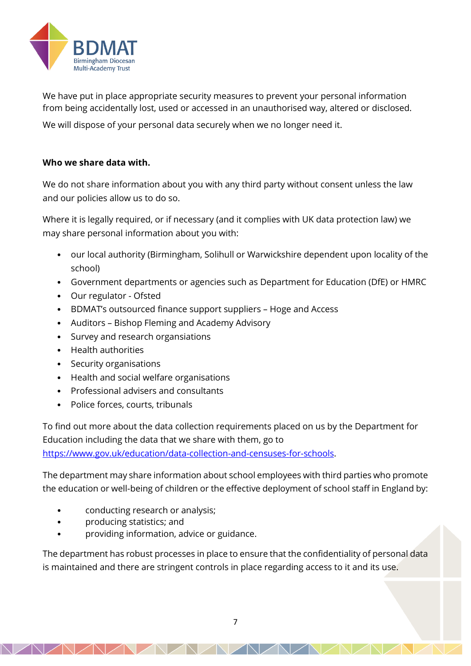

We have put in place appropriate security measures to prevent your personal information from being accidentally lost, used or accessed in an unauthorised way, altered or disclosed.

We will dispose of your personal data securely when we no longer need it.

### **Who we share data with.**

We do not share information about you with any third party without consent unless the law and our policies allow us to do so.

Where it is legally required, or if necessary (and it complies with UK data protection law) we may share personal information about you with:

- our local authority (Birmingham, Solihull or Warwickshire dependent upon locality of the school)
- Government departments or agencies such as Department for Education (DfE) or HMRC
- Our regulator Ofsted
- BDMAT's outsourced finance support suppliers Hoge and Access
- Auditors Bishop Fleming and Academy Advisory
- Survey and research organsiations
- Health authorities
- Security organisations
- Health and social welfare organisations
- Professional advisers and consultants
- Police forces, courts, tribunals

To find out more about the data collection requirements placed on us by the Department for Education including the data that we share with them, go to [https://www.gov.uk/education/data-collection-and-censuses-for-schools.](https://www.gov.uk/education/data-collection-and-censuses-for-schools)

The department may share information about school employees with third parties who promote the education or well-being of children or the effective deployment of school staff in England by:

- conducting research or analysis;
- producing statistics; and
- providing information, advice or guidance.

The department has robust processes in place to ensure that the confidentiality of personal data is maintained and there are stringent controls in place regarding access to it and its use.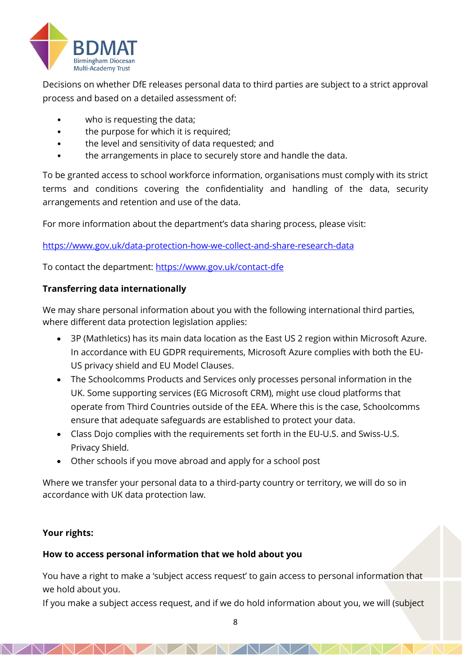

Decisions on whether DfE releases personal data to third parties are subject to a strict approval process and based on a detailed assessment of:

- who is requesting the data:
- the purpose for which it is required;
- the level and sensitivity of data requested; and
- the arrangements in place to securely store and handle the data.

To be granted access to school workforce information, organisations must comply with its strict terms and conditions covering the confidentiality and handling of the data, security arrangements and retention and use of the data.

For more information about the department's data sharing process, please visit:

<https://www.gov.uk/data-protection-how-we-collect-and-share-research-data>

To contact the department:<https://www.gov.uk/contact-dfe>

### **Transferring data internationally**

We may share personal information about you with the following international third parties, where different data protection legislation applies:

- 3P (Mathletics) has its main data location as the East US 2 region within Microsoft Azure. In accordance with EU GDPR requirements, Microsoft Azure complies with both the EU-US privacy shield and EU Model Clauses.
- The Schoolcomms Products and Services only processes personal information in the UK. Some supporting services (EG Microsoft CRM), might use cloud platforms that operate from Third Countries outside of the EEA. Where this is the case, Schoolcomms ensure that adequate safeguards are established to protect your data.
- Class Dojo complies with the requirements set forth in the EU-U.S. and Swiss-U.S. Privacy Shield.
- Other schools if you move abroad and apply for a school post

Where we transfer your personal data to a third-party country or territory, we will do so in accordance with UK data protection law.

# **Your rights:**

# **How to access personal information that we hold about you**

You have a right to make a 'subject access request' to gain access to personal information that we hold about you.

If you make a subject access request, and if we do hold information about you, we will (subject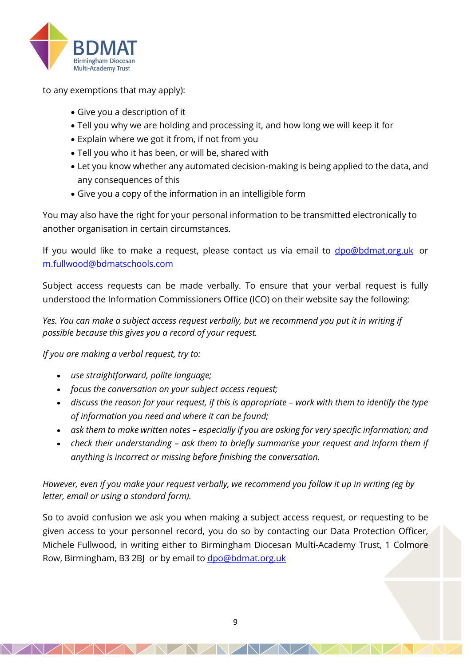

to any exemptions that may apply):

- Give you a description of it
- Tell you why we are holding and processing it, and how long we will keep it for
- Explain where we got it from, if not from you
- Tell you who it has been, or will be, shared with
- Let you know whether any automated decision-making is being applied to the data, and any consequences of this
- Give you a copy of the information in an intelligible form

You may also have the right for your personal information to be transmitted electronically to another organisation in certain circumstances.

If you would like to make a request, please contact us via email to **[dpo@bdmat.org.uk](mailto:dpo@bdmat.org.uk)** or [m.fullwood@bdmatschools.com](mailto:m.fullwood@bdmatschools.com)

Subject access requests can be made verbally. To ensure that your verbal request is fully understood the Information Commissioners Office (ICO) on their website say the following:

*Yes. You can make a subject access request verbally, but we recommend you put it in writing if possible because this gives you a record of your request.*

*If you are making a verbal request, try to:*

- *use straightforward, polite language;*
- *focus the conversation on your subject access request;*
- discuss the reason for your request, if this is appropriate work with them to identify the type *of information you need and where it can be found;*
- *ask them to make written notes – especially if you are asking for very specific information; and*
- *check their understanding – ask them to briefly summarise your request and inform them if anything is incorrect or missing before finishing the conversation.*

*However, even if you make your request verbally, we recommend you follow it up in writing (eg by letter, email or using a standard form).*

So to avoid confusion we ask you when making a subject access request, or requesting to be given access to your personnel record, you do so by contacting our Data Protection Officer, Michele Fullwood, in writing either to Birmingham Diocesan Multi-Academy Trust, 1 Colmore Row, Birmingham, B3 2BJ or by email to [dpo@bdmat.org.uk](mailto:dpo@bdmat.org.uk)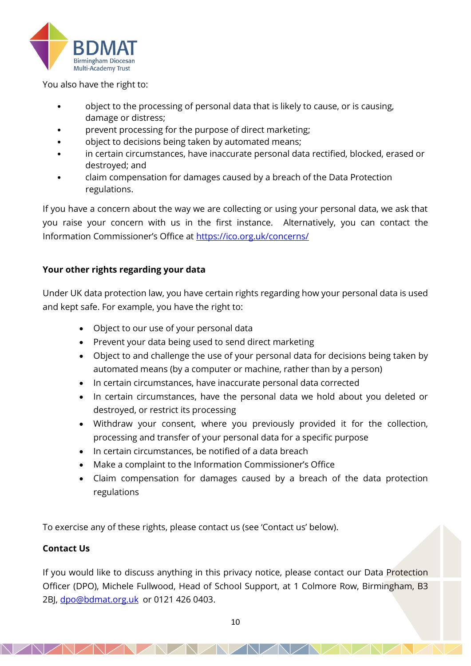

You also have the right to:

- object to the processing of personal data that is likely to cause, or is causing, damage or distress;
- prevent processing for the purpose of direct marketing;
- object to decisions being taken by automated means;
- in certain circumstances, have inaccurate personal data rectified, blocked, erased or destroyed; and
- claim compensation for damages caused by a breach of the Data Protection regulations.

If you have a concern about the way we are collecting or using your personal data, we ask that you raise your concern with us in the first instance. Alternatively, you can contact the Information Commissioner's Office at <https://ico.org.uk/concerns/>

# **Your other rights regarding your data**

Under UK data protection law, you have certain rights regarding how your personal data is used and kept safe. For example, you have the right to:

- Object to our use of your personal data
- Prevent your data being used to send direct marketing
- Object to and challenge the use of your personal data for decisions being taken by automated means (by a computer or machine, rather than by a person)
- In certain circumstances, have inaccurate personal data corrected
- In certain circumstances, have the personal data we hold about you deleted or destroyed, or restrict its processing
- Withdraw your consent, where you previously provided it for the collection, processing and transfer of your personal data for a specific purpose
- In certain circumstances, be notified of a data breach
- Make a complaint to the Information Commissioner's Office
- Claim compensation for damages caused by a breach of the data protection regulations

To exercise any of these rights, please contact us (see 'Contact us' below).

# **Contact Us**

If you would like to discuss anything in this privacy notice, please contact our Data Protection Officer (DPO), Michele Fullwood, Head of School Support, at 1 Colmore Row, Birmingham, B3 2BJ, [dpo@bdmat.org.uk](mailto:dpo@bdmat.org.uk) or 0121 426 0403.